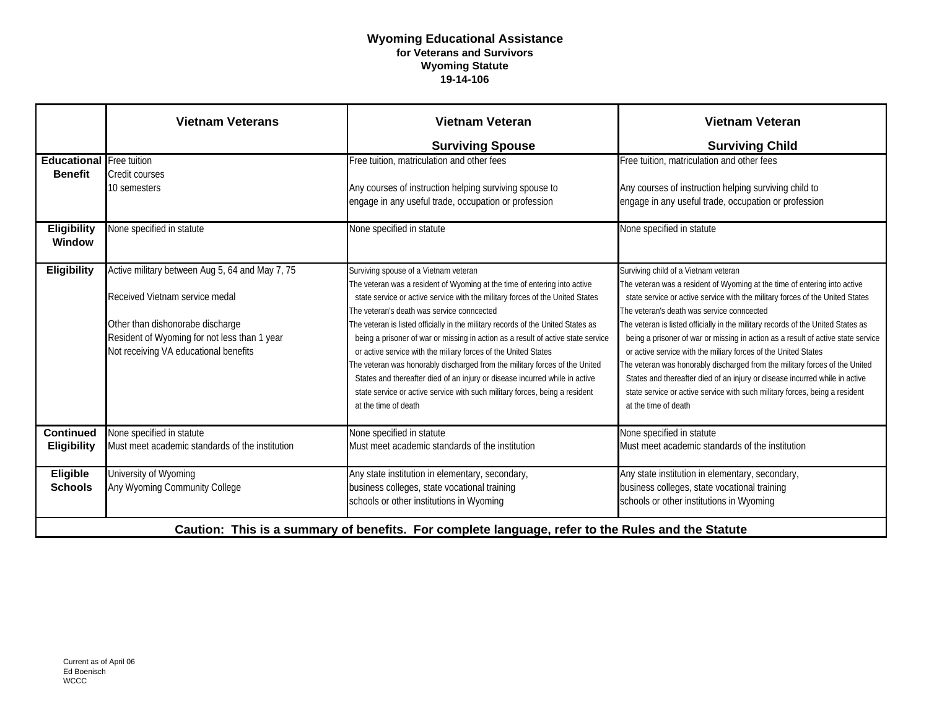## **Wyoming Educational Assistance for Veterans and Survivors Wyoming Statute 19-14-106**

|                                                                                                   | <b>Vietnam Veterans</b>                                                                                                                                                                                        | <b>Vietnam Veteran</b>                                                                                                                                                                                                                                                                                                                                                                                                                                                                                                                                                                                                                                                                                                                                           | <b>Vietnam Veteran</b>                                                                                                                                                                                                                                                                                                                                                                                                                                                                                                                                                                                                                                                                                                                                          |
|---------------------------------------------------------------------------------------------------|----------------------------------------------------------------------------------------------------------------------------------------------------------------------------------------------------------------|------------------------------------------------------------------------------------------------------------------------------------------------------------------------------------------------------------------------------------------------------------------------------------------------------------------------------------------------------------------------------------------------------------------------------------------------------------------------------------------------------------------------------------------------------------------------------------------------------------------------------------------------------------------------------------------------------------------------------------------------------------------|-----------------------------------------------------------------------------------------------------------------------------------------------------------------------------------------------------------------------------------------------------------------------------------------------------------------------------------------------------------------------------------------------------------------------------------------------------------------------------------------------------------------------------------------------------------------------------------------------------------------------------------------------------------------------------------------------------------------------------------------------------------------|
|                                                                                                   |                                                                                                                                                                                                                | <b>Surviving Spouse</b>                                                                                                                                                                                                                                                                                                                                                                                                                                                                                                                                                                                                                                                                                                                                          | <b>Surviving Child</b>                                                                                                                                                                                                                                                                                                                                                                                                                                                                                                                                                                                                                                                                                                                                          |
| <b>Educational</b> Free tuition<br><b>Benefit</b>                                                 | Credit courses<br>10 semesters                                                                                                                                                                                 | Free tuition, matriculation and other fees<br>Any courses of instruction helping surviving spouse to<br>engage in any useful trade, occupation or profession                                                                                                                                                                                                                                                                                                                                                                                                                                                                                                                                                                                                     | Free tuition, matriculation and other fees<br>Any courses of instruction helping surviving child to<br>engage in any useful trade, occupation or profession                                                                                                                                                                                                                                                                                                                                                                                                                                                                                                                                                                                                     |
| <b>Eligibility</b><br>Window                                                                      | None specified in statute                                                                                                                                                                                      | None specified in statute                                                                                                                                                                                                                                                                                                                                                                                                                                                                                                                                                                                                                                                                                                                                        | None specified in statute                                                                                                                                                                                                                                                                                                                                                                                                                                                                                                                                                                                                                                                                                                                                       |
| <b>Eligibility</b>                                                                                | Active military between Aug 5, 64 and May 7, 75<br>Received Vietnam service medal<br>Other than dishonorabe discharge<br>Resident of Wyoming for not less than 1 year<br>Not receiving VA educational benefits | Surviving spouse of a Vietnam veteran<br>The veteran was a resident of Wyoming at the time of entering into active<br>state service or active service with the military forces of the United States<br>The veteran's death was service conncected<br>The veteran is listed officially in the military records of the United States as<br>being a prisoner of war or missing in action as a result of active state service<br>or active service with the miliary forces of the United States<br>The veteran was honorably discharged from the military forces of the United<br>States and thereafter died of an injury or disease incurred while in active<br>state service or active service with such military forces, being a resident<br>at the time of death | Surviving child of a Vietnam veteran<br>The veteran was a resident of Wyoming at the time of entering into active<br>state service or active service with the military forces of the United States<br>The veteran's death was service conncected<br>The veteran is listed officially in the military records of the United States as<br>being a prisoner of war or missing in action as a result of active state service<br>or active service with the miliary forces of the United States<br>The veteran was honorably discharged from the military forces of the United<br>States and thereafter died of an injury or disease incurred while in active<br>state service or active service with such military forces, being a resident<br>at the time of death |
| <b>Continued</b><br>Eligibility                                                                   | None specified in statute<br>Must meet academic standards of the institution                                                                                                                                   | None specified in statute<br>Must meet academic standards of the institution                                                                                                                                                                                                                                                                                                                                                                                                                                                                                                                                                                                                                                                                                     | None specified in statute<br>Must meet academic standards of the institution                                                                                                                                                                                                                                                                                                                                                                                                                                                                                                                                                                                                                                                                                    |
| Eligible<br><b>Schools</b>                                                                        | University of Wyoming<br>Any Wyoming Community College                                                                                                                                                         | Any state institution in elementary, secondary,<br>business colleges, state vocational training<br>schools or other institutions in Wyoming                                                                                                                                                                                                                                                                                                                                                                                                                                                                                                                                                                                                                      | Any state institution in elementary, secondary,<br>business colleges, state vocational training<br>schools or other institutions in Wyoming                                                                                                                                                                                                                                                                                                                                                                                                                                                                                                                                                                                                                     |
| Caution: This is a summary of benefits. For complete language, refer to the Rules and the Statute |                                                                                                                                                                                                                |                                                                                                                                                                                                                                                                                                                                                                                                                                                                                                                                                                                                                                                                                                                                                                  |                                                                                                                                                                                                                                                                                                                                                                                                                                                                                                                                                                                                                                                                                                                                                                 |